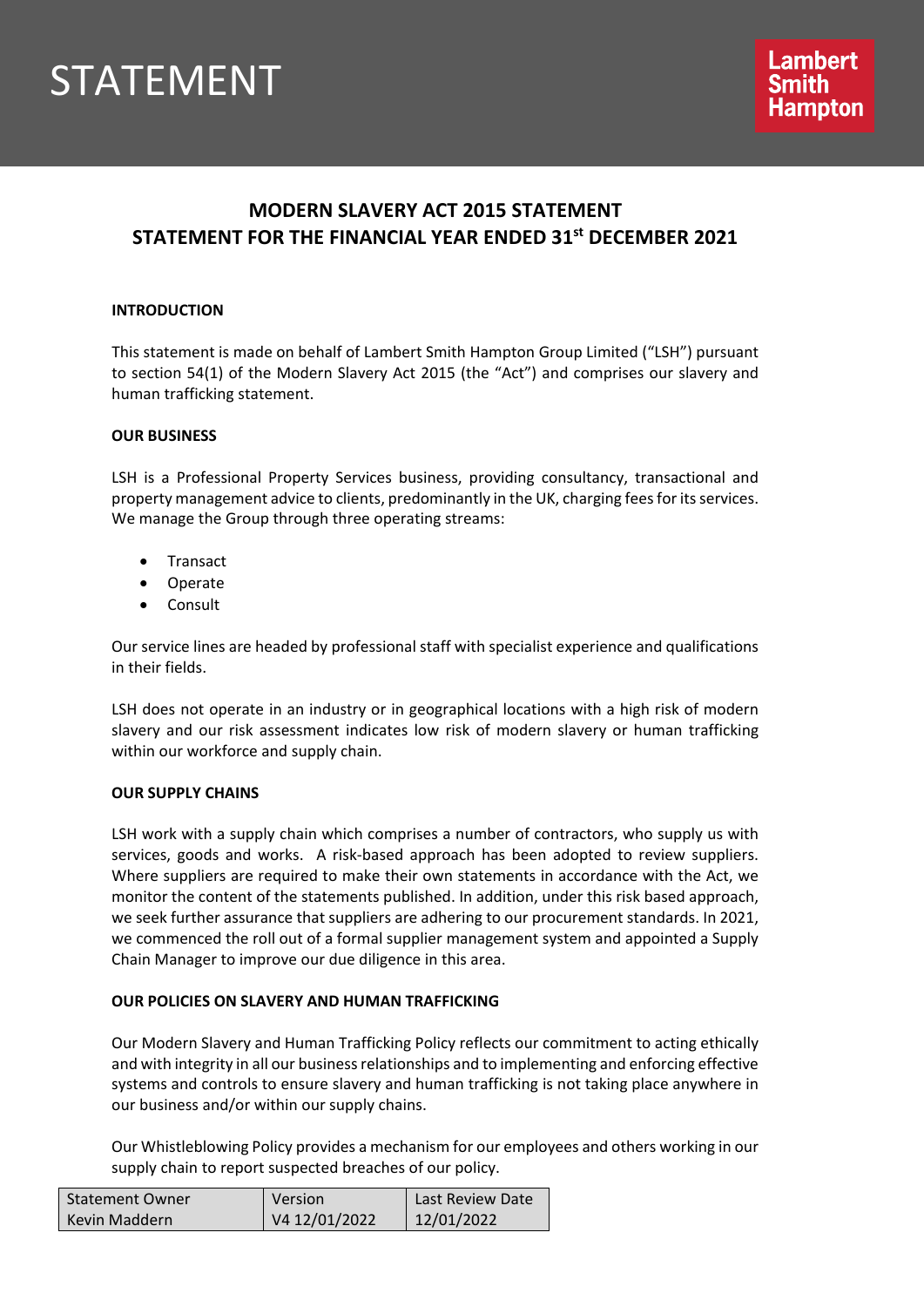# STATEMENT

# **MODERN SLAVERY ACT 2015 STATEMENT STATEMENT FOR THE FINANCIAL YEAR ENDED 31st DECEMBER 2021**

## **INTRODUCTION**

This statement is made on behalf of Lambert Smith Hampton Group Limited ("LSH") pursuant to section 54(1) of the Modern Slavery Act 2015 (the "Act") and comprises our slavery and human trafficking statement.

### **OUR BUSINESS**

LSH is a Professional Property Services business, providing consultancy, transactional and property management advice to clients, predominantly in the UK, charging fees for its services. We manage the Group through three operating streams:

- **Transact**
- Operate
- Consult

Our service lines are headed by professional staff with specialist experience and qualifications in their fields.

LSH does not operate in an industry or in geographical locations with a high risk of modern slavery and our risk assessment indicates low risk of modern slavery or human trafficking within our workforce and supply chain.

### **OUR SUPPLY CHAINS**

LSH work with a supply chain which comprises a number of contractors, who supply us with services, goods and works. A risk-based approach has been adopted to review suppliers. Where suppliers are required to make their own statements in accordance with the Act, we monitor the content of the statements published. In addition, under this risk based approach, we seek further assurance that suppliers are adhering to our procurement standards. In 2021, we commenced the roll out of a formal supplier management system and appointed a Supply Chain Manager to improve our due diligence in this area.

### **OUR POLICIES ON SLAVERY AND HUMAN TRAFFICKING**

Our Modern Slavery and Human Trafficking Policy reflects our commitment to acting ethically and with integrity in all our business relationships and to implementing and enforcing effective systems and controls to ensure slavery and human trafficking is not taking place anywhere in our business and/or within our supply chains.

Our Whistleblowing Policy provides a mechanism for our employees and others working in our supply chain to report suspected breaches of our policy.

| <b>Statement Owner</b> | Version       | Last Review Date |
|------------------------|---------------|------------------|
| Kevin Maddern          | V4 12/01/2022 | 12/01/2022       |